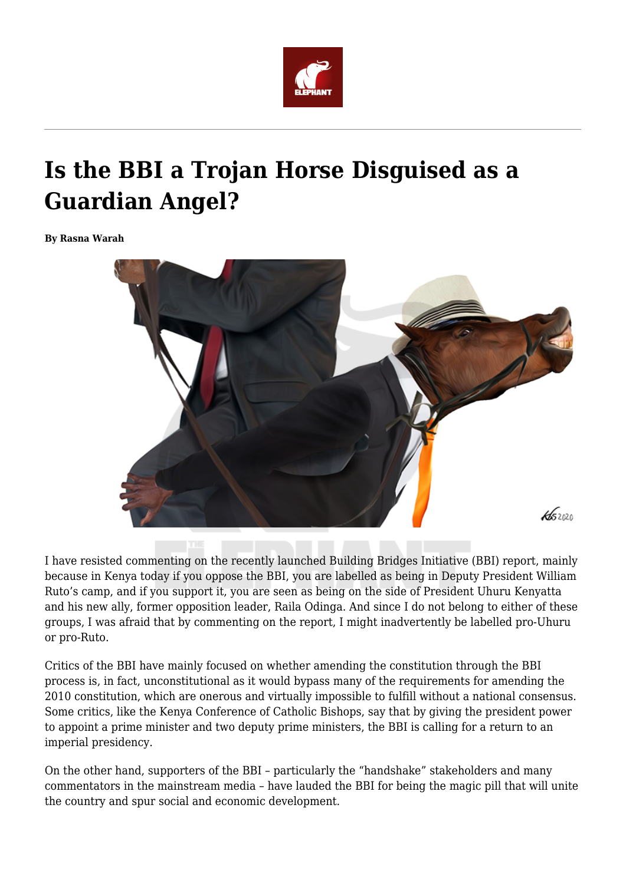

# **Is the BBI a Trojan Horse Disguised as a Guardian Angel?**

**By Rasna Warah**



I have resisted commenting on the recently launched Building Bridges Initiative (BBI) report, mainly because in Kenya today if you oppose the BBI, you are labelled as being in Deputy President William Ruto's camp, and if you support it, you are seen as being on the side of President Uhuru Kenyatta and his new ally, former opposition leader, Raila Odinga. And since I do not belong to either of these groups, I was afraid that by commenting on the report, I might inadvertently be labelled pro-Uhuru or pro-Ruto.

Critics of the BBI have mainly focused on whether amending the constitution through the BBI process is, in fact, unconstitutional as it would bypass many of the requirements for amending the 2010 constitution, which are onerous and virtually impossible to fulfill without a national consensus. Some critics, like the Kenya Conference of Catholic Bishops, say that by giving the president power to appoint a prime minister and two deputy prime ministers, the BBI is calling for a return to an imperial presidency.

On the other hand, supporters of the BBI – particularly the "handshake" stakeholders and many commentators in the mainstream media – have lauded the BBI for being the magic pill that will unite the country and spur social and economic development.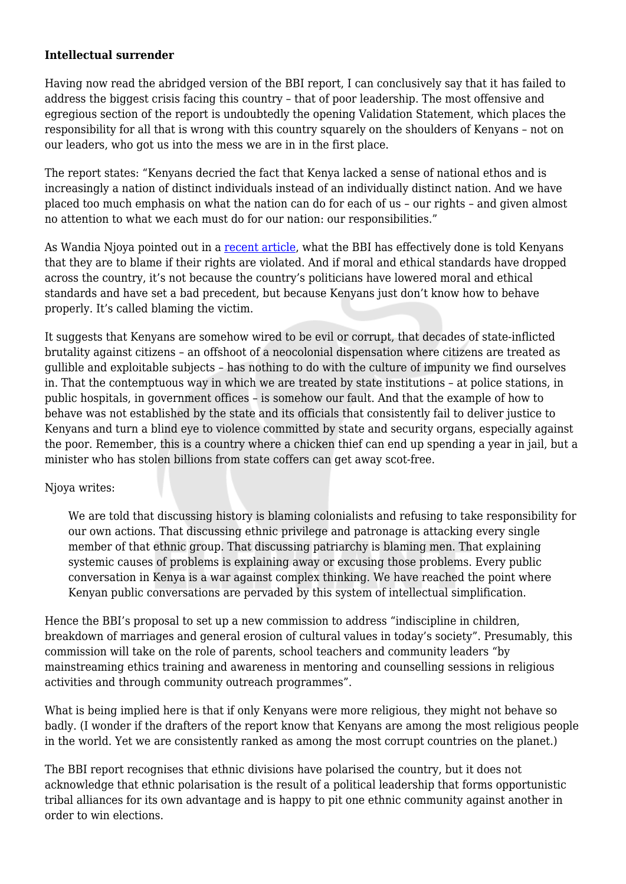### **Intellectual surrender**

Having now read the abridged version of the BBI report, I can conclusively say that it has failed to address the biggest crisis facing this country – that of poor leadership. The most offensive and egregious section of the report is undoubtedly the opening Validation Statement, which places the responsibility for all that is wrong with this country squarely on the shoulders of Kenyans – not on our leaders, who got us into the mess we are in in the first place.

The report states: "Kenyans decried the fact that Kenya lacked a sense of national ethos and is increasingly a nation of distinct individuals instead of an individually distinct nation. And we have placed too much emphasis on what the nation can do for each of us – our rights – and given almost no attention to what we each must do for our nation: our responsibilities."

As Wandia Njoya pointed out in a [recent article](https://www.theelephant.info/features/2020/02/11/moi-and-the-simplification-of-the-kenyan-mind/), what the BBI has effectively done is told Kenyans that they are to blame if their rights are violated. And if moral and ethical standards have dropped across the country, it's not because the country's politicians have lowered moral and ethical standards and have set a bad precedent, but because Kenyans just don't know how to behave properly. It's called blaming the victim.

It suggests that Kenyans are somehow wired to be evil or corrupt, that decades of state-inflicted brutality against citizens – an offshoot of a neocolonial dispensation where citizens are treated as gullible and exploitable subjects – has nothing to do with the culture of impunity we find ourselves in. That the contemptuous way in which we are treated by state institutions – at police stations, in public hospitals, in government offices – is somehow our fault. And that the example of how to behave was not established by the state and its officials that consistently fail to deliver justice to Kenyans and turn a blind eye to violence committed by state and security organs, especially against the poor. Remember, this is a country where a chicken thief can end up spending a year in jail, but a minister who has stolen billions from state coffers can get away scot-free.

#### Njoya writes:

We are told that discussing history is blaming colonialists and refusing to take responsibility for our own actions. That discussing ethnic privilege and patronage is attacking every single member of that ethnic group. That discussing patriarchy is blaming men. That explaining systemic causes of problems is explaining away or excusing those problems. Every public conversation in Kenya is a war against complex thinking. We have reached the point where Kenyan public conversations are pervaded by this system of intellectual simplification.

Hence the BBI's proposal to set up a new commission to address "indiscipline in children, breakdown of marriages and general erosion of cultural values in today's society". Presumably, this commission will take on the role of parents, school teachers and community leaders "by mainstreaming ethics training and awareness in mentoring and counselling sessions in religious activities and through community outreach programmes".

What is being implied here is that if only Kenyans were more religious, they might not behave so badly. (I wonder if the drafters of the report know that Kenyans are among the most religious people in the world. Yet we are consistently ranked as among the most corrupt countries on the planet.)

The BBI report recognises that ethnic divisions have polarised the country, but it does not acknowledge that ethnic polarisation is the result of a political leadership that forms opportunistic tribal alliances for its own advantage and is happy to pit one ethnic community against another in order to win elections.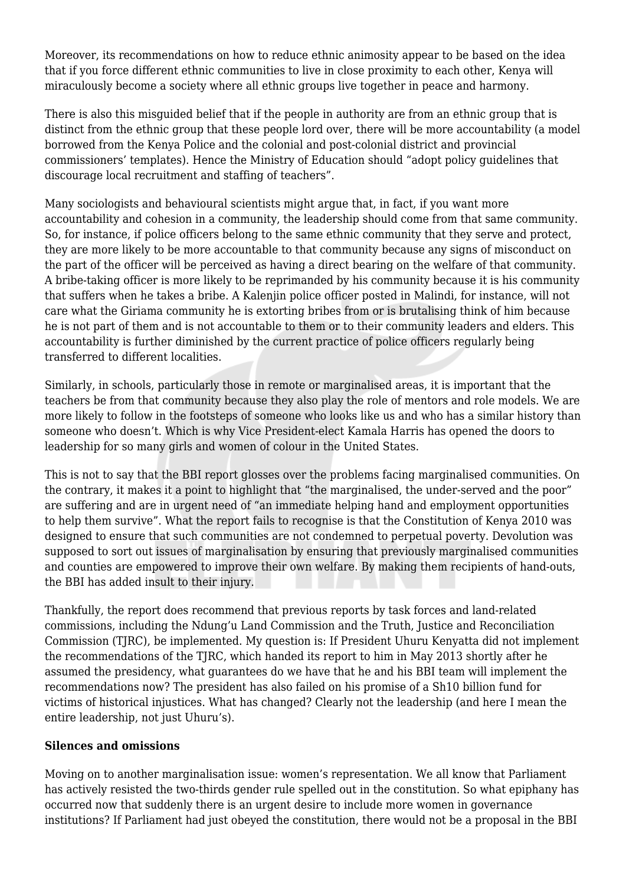Moreover, its recommendations on how to reduce ethnic animosity appear to be based on the idea that if you force different ethnic communities to live in close proximity to each other, Kenya will miraculously become a society where all ethnic groups live together in peace and harmony.

There is also this misguided belief that if the people in authority are from an ethnic group that is distinct from the ethnic group that these people lord over, there will be more accountability (a model borrowed from the Kenya Police and the colonial and post-colonial district and provincial commissioners' templates). Hence the Ministry of Education should "adopt policy guidelines that discourage local recruitment and staffing of teachers".

Many sociologists and behavioural scientists might argue that, in fact, if you want more accountability and cohesion in a community, the leadership should come from that same community. So, for instance, if police officers belong to the same ethnic community that they serve and protect, they are more likely to be more accountable to that community because any signs of misconduct on the part of the officer will be perceived as having a direct bearing on the welfare of that community. A bribe-taking officer is more likely to be reprimanded by his community because it is his community that suffers when he takes a bribe. A Kalenjin police officer posted in Malindi, for instance, will not care what the Giriama community he is extorting bribes from or is brutalising think of him because he is not part of them and is not accountable to them or to their community leaders and elders. This accountability is further diminished by the current practice of police officers regularly being transferred to different localities.

Similarly, in schools, particularly those in remote or marginalised areas, it is important that the teachers be from that community because they also play the role of mentors and role models. We are more likely to follow in the footsteps of someone who looks like us and who has a similar history than someone who doesn't. Which is why Vice President-elect Kamala Harris has opened the doors to leadership for so many girls and women of colour in the United States.

This is not to say that the BBI report glosses over the problems facing marginalised communities. On the contrary, it makes it a point to highlight that "the marginalised, the under-served and the poor" are suffering and are in urgent need of "an immediate helping hand and employment opportunities to help them survive". What the report fails to recognise is that the Constitution of Kenya 2010 was designed to ensure that such communities are not condemned to perpetual poverty. Devolution was supposed to sort out issues of marginalisation by ensuring that previously marginalised communities and counties are empowered to improve their own welfare. By making them recipients of hand-outs, the BBI has added insult to their injury.

Thankfully, the report does recommend that previous reports by task forces and land-related commissions, including the Ndung'u Land Commission and the Truth, Justice and Reconciliation Commission (TJRC), be implemented. My question is: If President Uhuru Kenyatta did not implement the recommendations of the TJRC, which handed its report to him in May 2013 shortly after he assumed the presidency, what guarantees do we have that he and his BBI team will implement the recommendations now? The president has also failed on his promise of a Sh10 billion fund for victims of historical injustices. What has changed? Clearly not the leadership (and here I mean the entire leadership, not just Uhuru's).

## **Silences and omissions**

Moving on to another marginalisation issue: women's representation. We all know that Parliament has actively resisted the two-thirds gender rule spelled out in the constitution. So what epiphany has occurred now that suddenly there is an urgent desire to include more women in governance institutions? If Parliament had just obeyed the constitution, there would not be a proposal in the BBI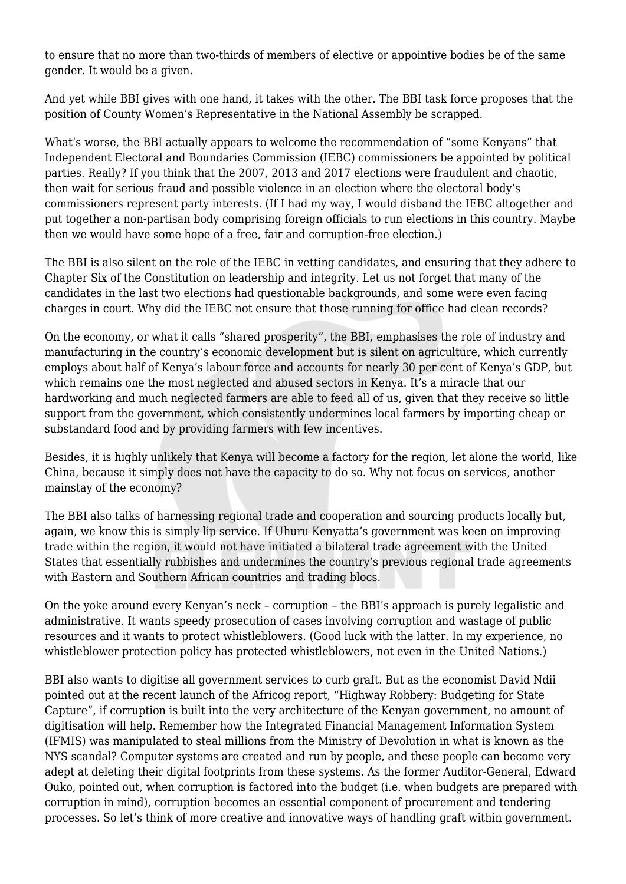to ensure that no more than two-thirds of members of elective or appointive bodies be of the same gender. It would be a given.

And yet while BBI gives with one hand, it takes with the other. The BBI task force proposes that the position of County Women's Representative in the National Assembly be scrapped.

What's worse, the BBI actually appears to welcome the recommendation of "some Kenyans" that Independent Electoral and Boundaries Commission (IEBC) commissioners be appointed by political parties. Really? If you think that the 2007, 2013 and 2017 elections were fraudulent and chaotic, then wait for serious fraud and possible violence in an election where the electoral body's commissioners represent party interests. (If I had my way, I would disband the IEBC altogether and put together a non-partisan body comprising foreign officials to run elections in this country. Maybe then we would have some hope of a free, fair and corruption-free election.)

The BBI is also silent on the role of the IEBC in vetting candidates, and ensuring that they adhere to Chapter Six of the Constitution on leadership and integrity. Let us not forget that many of the candidates in the last two elections had questionable backgrounds, and some were even facing charges in court. Why did the IEBC not ensure that those running for office had clean records?

On the economy, or what it calls "shared prosperity", the BBI, emphasises the role of industry and manufacturing in the country's economic development but is silent on agriculture, which currently employs about half of Kenya's labour force and accounts for nearly 30 per cent of Kenya's GDP, but which remains one the most neglected and abused sectors in Kenya. It's a miracle that our hardworking and much neglected farmers are able to feed all of us, given that they receive so little support from the government, which consistently undermines local farmers by importing cheap or substandard food and by providing farmers with few incentives.

Besides, it is highly unlikely that Kenya will become a factory for the region, let alone the world, like China, because it simply does not have the capacity to do so. Why not focus on services, another mainstay of the economy?

The BBI also talks of harnessing regional trade and cooperation and sourcing products locally but, again, we know this is simply lip service. If Uhuru Kenyatta's government was keen on improving trade within the region, it would not have initiated a bilateral trade agreement with the United States that essentially rubbishes and undermines the country's previous regional trade agreements with Eastern and Southern African countries and trading blocs.

On the yoke around every Kenyan's neck – corruption – the BBI's approach is purely legalistic and administrative. It wants speedy prosecution of cases involving corruption and wastage of public resources and it wants to protect whistleblowers. (Good luck with the latter. In my experience, no whistleblower protection policy has protected whistleblowers, not even in the United Nations.)

BBI also wants to digitise all government services to curb graft. But as the economist David Ndii pointed out at the recent launch of the Africog report, "Highway Robbery: Budgeting for State Capture", if corruption is built into the very architecture of the Kenyan government, no amount of digitisation will help. Remember how the Integrated Financial Management Information System (IFMIS) was manipulated to steal millions from the Ministry of Devolution in what is known as the NYS scandal? Computer systems are created and run by people, and these people can become very adept at deleting their digital footprints from these systems. As the former Auditor-General, Edward Ouko, pointed out, when corruption is factored into the budget (i.e. when budgets are prepared with corruption in mind), corruption becomes an essential component of procurement and tendering processes. So let's think of more creative and innovative ways of handling graft within government.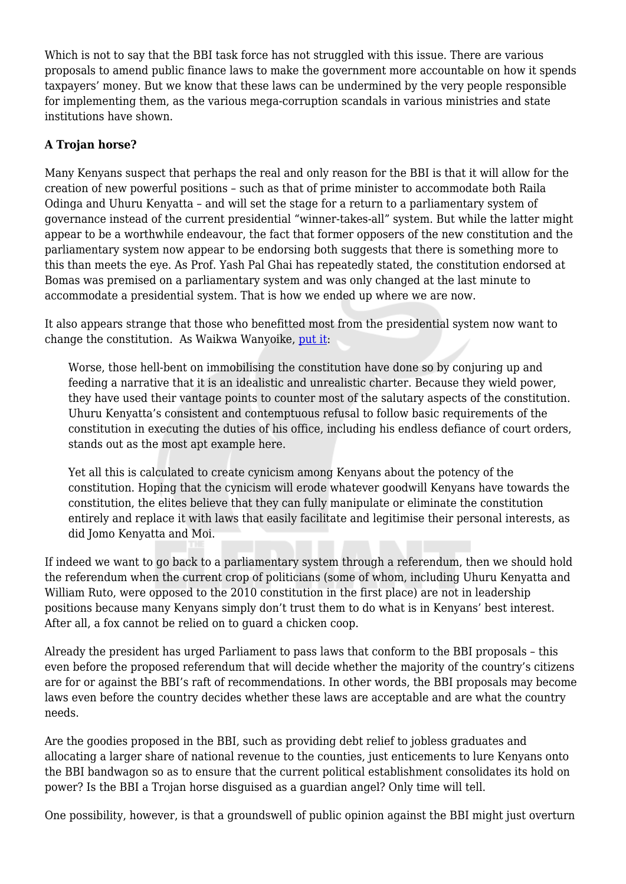Which is not to say that the BBI task force has not struggled with this issue. There are various proposals to amend public finance laws to make the government more accountable on how it spends taxpayers' money. But we know that these laws can be undermined by the very people responsible for implementing them, as the various mega-corruption scandals in various ministries and state institutions have shown.

## **A Trojan horse?**

Many Kenyans suspect that perhaps the real and only reason for the BBI is that it will allow for the creation of new powerful positions – such as that of prime minister to accommodate both Raila Odinga and Uhuru Kenyatta – and will set the stage for a return to a parliamentary system of governance instead of the current presidential "winner-takes-all" system. But while the latter might appear to be a worthwhile endeavour, the fact that former opposers of the new constitution and the parliamentary system now appear to be endorsing both suggests that there is something more to this than meets the eye. As Prof. Yash Pal Ghai has repeatedly stated, the constitution endorsed at Bomas was premised on a parliamentary system and was only changed at the last minute to accommodate a presidential system. That is how we ended up where we are now.

It also appears strange that those who benefitted most from the presidential system now want to change the constitution. As Waikwa Wanyoike, [put it](https://www.theelephant.info/features/2020/09/05/is-the-kenyan-constitution-on-its-deathbed/):

Worse, those hell-bent on immobilising the constitution have done so by conjuring up and feeding a narrative that it is an idealistic and unrealistic charter. Because they wield power, they have used their vantage points to counter most of the salutary aspects of the constitution. Uhuru Kenyatta's consistent and contemptuous refusal to follow basic requirements of the constitution in executing the duties of his office, including his endless defiance of court orders, stands out as the most apt example here.

Yet all this is calculated to create cynicism among Kenyans about the potency of the constitution. Hoping that the cynicism will erode whatever goodwill Kenyans have towards the constitution, the elites believe that they can fully manipulate or eliminate the constitution entirely and replace it with laws that easily facilitate and legitimise their personal interests, as did Jomo Kenyatta and Moi.

If indeed we want to go back to a parliamentary system through a referendum, then we should hold the referendum when the current crop of politicians (some of whom, including Uhuru Kenyatta and William Ruto, were opposed to the 2010 constitution in the first place) are not in leadership positions because many Kenyans simply don't trust them to do what is in Kenyans' best interest. After all, a fox cannot be relied on to guard a chicken coop.

Already the president has urged Parliament to pass laws that conform to the BBI proposals – this even before the proposed referendum that will decide whether the majority of the country's citizens are for or against the BBI's raft of recommendations. In other words, the BBI proposals may become laws even before the country decides whether these laws are acceptable and are what the country needs.

Are the goodies proposed in the BBI, such as providing debt relief to jobless graduates and allocating a larger share of national revenue to the counties, just enticements to lure Kenyans onto the BBI bandwagon so as to ensure that the current political establishment consolidates its hold on power? Is the BBI a Trojan horse disguised as a guardian angel? Only time will tell.

One possibility, however, is that a groundswell of public opinion against the BBI might just overturn